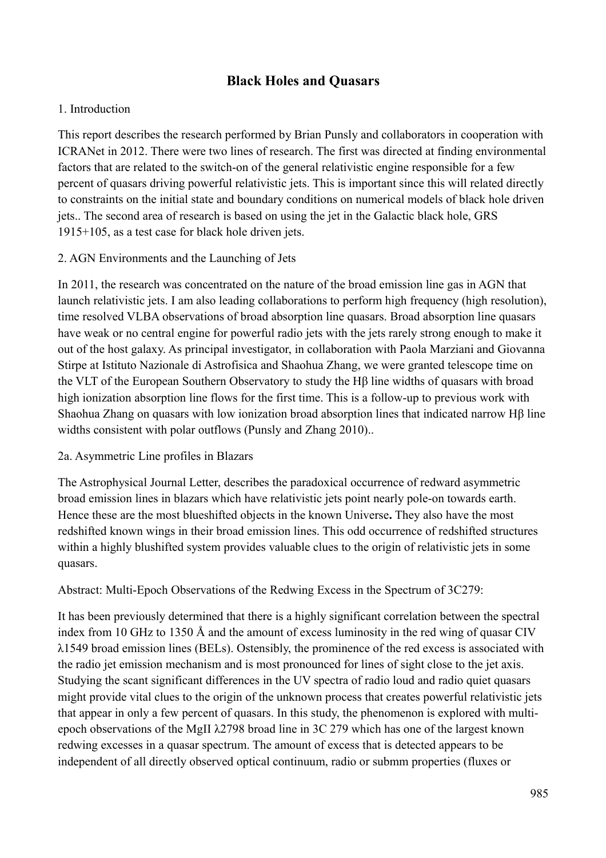# **Black Holes and Quasars**

### 1. Introduction

This report describes the research performed by Brian Punsly and collaborators in cooperation with ICRANet in 2012. There were two lines of research. The first was directed at finding environmental factors that are related to the switch-on of the general relativistic engine responsible for a few percent of quasars driving powerful relativistic jets. This is important since this will related directly to constraints on the initial state and boundary conditions on numerical models of black hole driven jets.. The second area of research is based on using the jet in the Galactic black hole, GRS 1915+105, as a test case for black hole driven jets.

### 2. AGN Environments and the Launching of Jets

In 2011, the research was concentrated on the nature of the broad emission line gas in AGN that launch relativistic jets. I am also leading collaborations to perform high frequency (high resolution), time resolved VLBA observations of broad absorption line quasars. Broad absorption line quasars have weak or no central engine for powerful radio jets with the jets rarely strong enough to make it out of the host galaxy. As principal investigator, in collaboration with Paola Marziani and Giovanna Stirpe at Istituto Nazionale di Astrofisica and Shaohua Zhang, we were granted telescope time on the VLT of the European Southern Observatory to study the Hβ line widths of quasars with broad high ionization absorption line flows for the first time. This is a follow-up to previous work with Shaohua Zhang on quasars with low ionization broad absorption lines that indicated narrow Hβ line widths consistent with polar outflows (Punsly and Zhang 2010)..

#### 2a. Asymmetric Line profiles in Blazars

The Astrophysical Journal Letter, describes the paradoxical occurrence of redward asymmetric broad emission lines in blazars which have relativistic jets point nearly pole-on towards earth. Hence these are the most blueshifted objects in the known Universe**.** They also have the most redshifted known wings in their broad emission lines. This odd occurrence of redshifted structures within a highly blushifted system provides valuable clues to the origin of relativistic jets in some quasars.

Abstract: Multi-Epoch Observations of the Redwing Excess in the Spectrum of 3C279:

It has been previously determined that there is a highly significant correlation between the spectral index from 10 GHz to 1350 Å and the amount of excess luminosity in the red wing of quasar CIV λ1549 broad emission lines (BELs). Ostensibly, the prominence of the red excess is associated with the radio jet emission mechanism and is most pronounced for lines of sight close to the jet axis. Studying the scant significant differences in the UV spectra of radio loud and radio quiet quasars might provide vital clues to the origin of the unknown process that creates powerful relativistic jets that appear in only a few percent of quasars. In this study, the phenomenon is explored with multiepoch observations of the MgII λ2798 broad line in 3C 279 which has one of the largest known redwing excesses in a quasar spectrum. The amount of excess that is detected appears to be independent of all directly observed optical continuum, radio or submm properties (fluxes or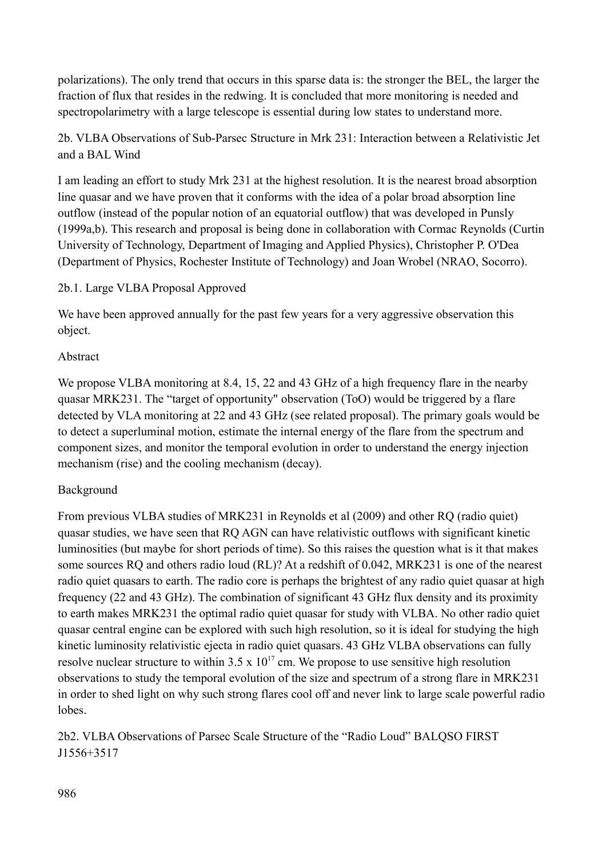polarizations). The only trend that occurs in this sparse data is: the stronger the BEL, the larger the fraction of flux that resides in the redwing. It is concluded that more monitoring is needed and spectropolarimetry with a large telescope is essential during low states to understand more.

2b. VLBA Observations of Sub-Parsec Structure in Mrk 231: Interaction between a Relativistic Jet and a BAL Wind

I am leading an effort to study Mrk 231 at the highest resolution. It is the nearest broad absorption line quasar and we have proven that it conforms with the idea of a polar broad absorption line outflow (instead of the popular notion of an equatorial outflow) that was developed in Punsly (1999a,b). This research and proposal is being done in collaboration with Cormac Reynolds (Curtin University of Technology, Department of Imaging and Applied Physics), Christopher P. O'Dea (Department of Physics, Rochester Institute of Technology) and Joan Wrobel (NRAO, Socorro).

### 2b.1. Large VLBA Proposal Approved

We have been approved annually for the past few years for a very aggressive observation this object.

### Abstract

We propose VLBA monitoring at 8.4, 15, 22 and 43 GHz of a high frequency flare in the nearby quasar MRK231. The "target of opportunity" observation (ToO) would be triggered by a flare detected by VLA monitoring at 22 and 43 GHz (see related proposal). The primary goals would be to detect a superluminal motion, estimate the internal energy of the flare from the spectrum and component sizes, and monitor the temporal evolution in order to understand the energy injection mechanism (rise) and the cooling mechanism (decay).

## Background

From previous VLBA studies of MRK231 in Reynolds et al (2009) and other RQ (radio quiet) quasar studies, we have seen that RQ AGN can have relativistic outflows with significant kinetic luminosities (but maybe for short periods of time). So this raises the question what is it that makes some sources RQ and others radio loud (RL)? At a redshift of 0.042, MRK231 is one of the nearest radio quiet quasars to earth. The radio core is perhaps the brightest of any radio quiet quasar at high frequency (22 and 43 GHz). The combination of significant 43 GHz flux density and its proximity to earth makes MRK231 the optimal radio quiet quasar for study with VLBA. No other radio quiet quasar central engine can be explored with such high resolution, so it is ideal for studying the high kinetic luminosity relativistic ejecta in radio quiet quasars. 43 GHz VLBA observations can fully resolve nuclear structure to within  $3.5 \times 10^{17}$  cm. We propose to use sensitive high resolution observations to study the temporal evolution of the size and spectrum of a strong flare in MRK231 in order to shed light on why such strong flares cool off and never link to large scale powerful radio lobes.

2b2. VLBA Observations of Parsec Scale Structure of the "Radio Loud" BALQSO FIRST J1556+3517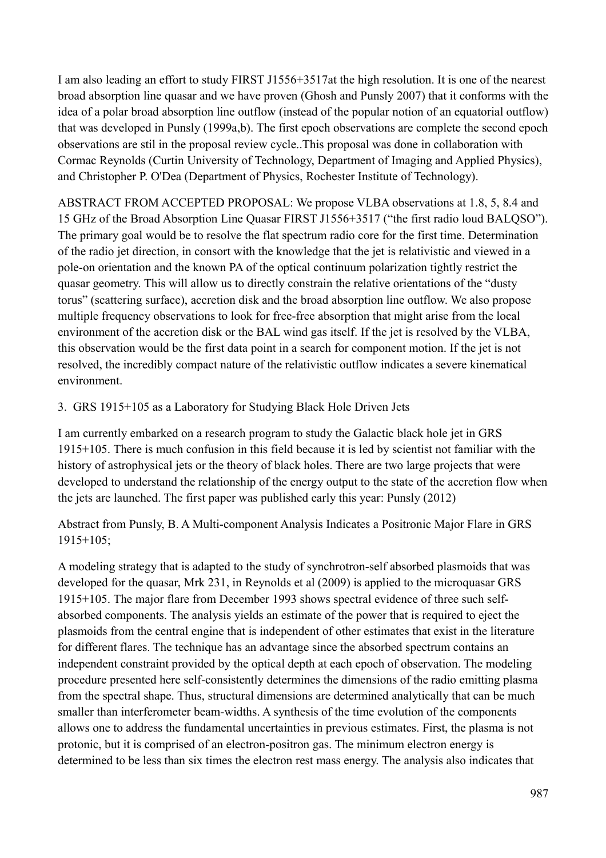I am also leading an effort to study FIRST J1556+3517at the high resolution. It is one of the nearest broad absorption line quasar and we have proven (Ghosh and Punsly 2007) that it conforms with the idea of a polar broad absorption line outflow (instead of the popular notion of an equatorial outflow) that was developed in Punsly (1999a,b). The first epoch observations are complete the second epoch observations are stil in the proposal review cycle..This proposal was done in collaboration with Cormac Reynolds (Curtin University of Technology, Department of Imaging and Applied Physics), and Christopher P. O'Dea (Department of Physics, Rochester Institute of Technology).

ABSTRACT FROM ACCEPTED PROPOSAL: We propose VLBA observations at 1.8, 5, 8.4 and 15 GHz of the Broad Absorption Line Quasar FIRST J1556+3517 ("the first radio loud BALQSO"). The primary goal would be to resolve the flat spectrum radio core for the first time. Determination of the radio jet direction, in consort with the knowledge that the jet is relativistic and viewed in a pole-on orientation and the known PA of the optical continuum polarization tightly restrict the quasar geometry. This will allow us to directly constrain the relative orientations of the "dusty torus" (scattering surface), accretion disk and the broad absorption line outflow. We also propose multiple frequency observations to look for free-free absorption that might arise from the local environment of the accretion disk or the BAL wind gas itself. If the jet is resolved by the VLBA, this observation would be the first data point in a search for component motion. If the jet is not resolved, the incredibly compact nature of the relativistic outflow indicates a severe kinematical environment.

## 3. GRS 1915+105 as a Laboratory for Studying Black Hole Driven Jets

I am currently embarked on a research program to study the Galactic black hole jet in GRS 1915+105. There is much confusion in this field because it is led by scientist not familiar with the history of astrophysical jets or the theory of black holes. There are two large projects that were developed to understand the relationship of the energy output to the state of the accretion flow when the jets are launched. The first paper was published early this year: Punsly (2012)

Abstract from Punsly, B. A Multi-component Analysis Indicates a Positronic Major Flare in GRS 1915+105;

A modeling strategy that is adapted to the study of synchrotron-self absorbed plasmoids that was developed for the quasar, Mrk 231, in Reynolds et al (2009) is applied to the microquasar GRS 1915+105. The major flare from December 1993 shows spectral evidence of three such selfabsorbed components. The analysis yields an estimate of the power that is required to eject the plasmoids from the central engine that is independent of other estimates that exist in the literature for different flares. The technique has an advantage since the absorbed spectrum contains an independent constraint provided by the optical depth at each epoch of observation. The modeling procedure presented here self-consistently determines the dimensions of the radio emitting plasma from the spectral shape. Thus, structural dimensions are determined analytically that can be much smaller than interferometer beam-widths. A synthesis of the time evolution of the components allows one to address the fundamental uncertainties in previous estimates. First, the plasma is not protonic, but it is comprised of an electron-positron gas. The minimum electron energy is determined to be less than six times the electron rest mass energy. The analysis also indicates that